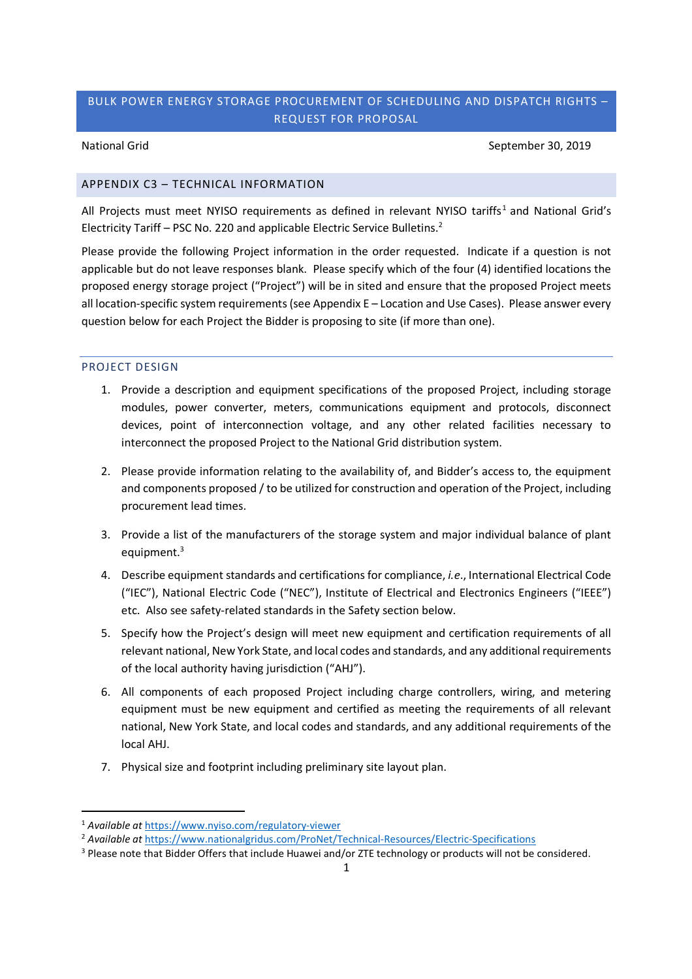National Grid September 30, 2019

# APPENDIX C3 – TECHNICAL INFORMATION

All Projects must meet NYISO requirements as defined in relevant NYISO tariffs<sup>1</sup> and National Grid's Electricity Tariff – PSC No. 220 and applicable Electric Service Bulletins.<sup>2</sup>

Please provide the following Project information in the order requested. Indicate if a question is not applicable but do not leave responses blank. Please specify which of the four (4) identified locations the proposed energy storage project ("Project") will be in sited and ensure that the proposed Project meets all location-specific system requirements (see Appendix E – Location and Use Cases). Please answer every question below for each Project the Bidder is proposing to site (if more than one).

## PROJECT DESIGN

- 1. Provide a description and equipment specifications of the proposed Project, including storage modules, power converter, meters, communications equipment and protocols, disconnect devices, point of interconnection voltage, and any other related facilities necessary to interconnect the proposed Project to the National Grid distribution system.
- 2. Please provide information relating to the availability of, and Bidder's access to, the equipment and components proposed / to be utilized for construction and operation of the Project, including procurement lead times.
- 3. Provide a list of the manufacturers of the storage system and major individual balance of plant equipment.<sup>3</sup>
- 4. Describe equipment standards and certifications for compliance, *i.e*., International Electrical Code ("IEC"), National Electric Code ("NEC"), Institute of Electrical and Electronics Engineers ("IEEE") etc. Also see safety-related standards in the Safety section below.
- 5. Specify how the Project's design will meet new equipment and certification requirements of all relevant national, New York State, and local codes and standards, and any additional requirements of the local authority having jurisdiction ("AHJ").
- 6. All components of each proposed Project including charge controllers, wiring, and metering equipment must be new equipment and certified as meeting the requirements of all relevant national, New York State, and local codes and standards, and any additional requirements of the local AHJ.
- 7. Physical size and footprint including preliminary site layout plan.

<sup>1</sup> *Available at* https://www.nyiso.com/regulatory-viewer

<sup>2</sup> *Available at* https://www.nationalgridus.com/ProNet/Technical-Resources/Electric-Specifications

<sup>&</sup>lt;sup>3</sup> Please note that Bidder Offers that include Huawei and/or ZTE technology or products will not be considered.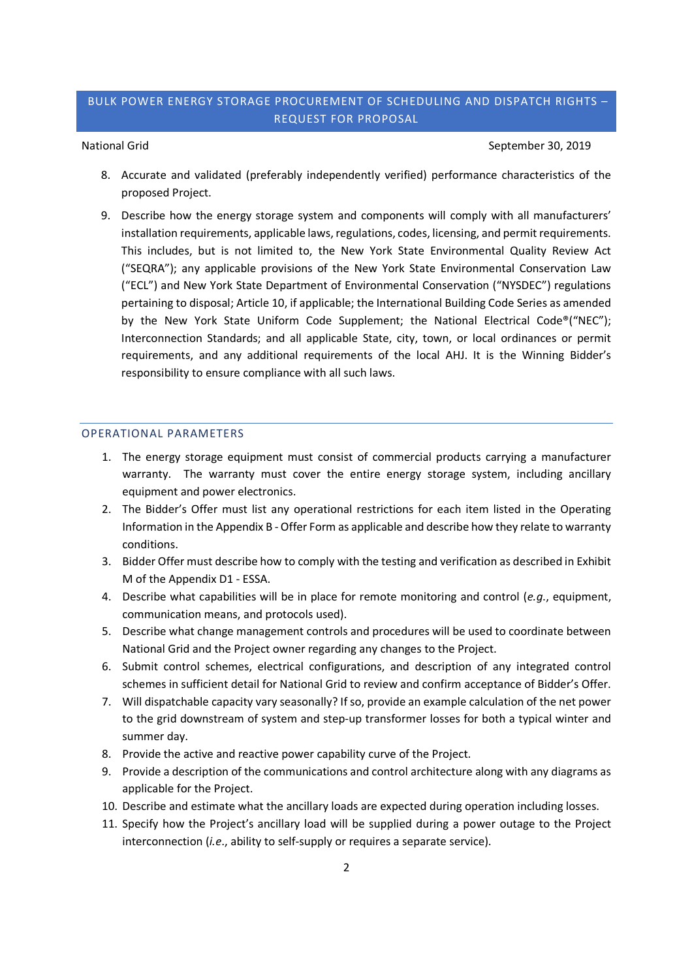### National Grid September 30, 2019

- 8. Accurate and validated (preferably independently verified) performance characteristics of the proposed Project.
- 9. Describe how the energy storage system and components will comply with all manufacturers' installation requirements, applicable laws, regulations, codes, licensing, and permit requirements. This includes, but is not limited to, the New York State Environmental Quality Review Act ("SEQRA"); any applicable provisions of the New York State Environmental Conservation Law ("ECL") and New York State Department of Environmental Conservation ("NYSDEC") regulations pertaining to disposal; Article 10, if applicable; the International Building Code Series as amended by the New York State Uniform Code Supplement; the National Electrical Code®("NEC"); Interconnection Standards; and all applicable State, city, town, or local ordinances or permit requirements, and any additional requirements of the local AHJ. It is the Winning Bidder's responsibility to ensure compliance with all such laws.

### OPERATIONAL PARAMETERS

- 1. The energy storage equipment must consist of commercial products carrying a manufacturer warranty. The warranty must cover the entire energy storage system, including ancillary equipment and power electronics.
- 2. The Bidder's Offer must list any operational restrictions for each item listed in the Operating Information in the Appendix B - Offer Form as applicable and describe how they relate to warranty conditions.
- 3. Bidder Offer must describe how to comply with the testing and verification as described in Exhibit M of the Appendix D1 - ESSA.
- 4. Describe what capabilities will be in place for remote monitoring and control (*e.g*., equipment, communication means, and protocols used).
- 5. Describe what change management controls and procedures will be used to coordinate between National Grid and the Project owner regarding any changes to the Project.
- 6. Submit control schemes, electrical configurations, and description of any integrated control schemes in sufficient detail for National Grid to review and confirm acceptance of Bidder's Offer.
- 7. Will dispatchable capacity vary seasonally? If so, provide an example calculation of the net power to the grid downstream of system and step-up transformer losses for both a typical winter and summer day.
- 8. Provide the active and reactive power capability curve of the Project.
- 9. Provide a description of the communications and control architecture along with any diagrams as applicable for the Project.
- 10. Describe and estimate what the ancillary loads are expected during operation including losses.
- 11. Specify how the Project's ancillary load will be supplied during a power outage to the Project interconnection (*i.e*., ability to self-supply or requires a separate service).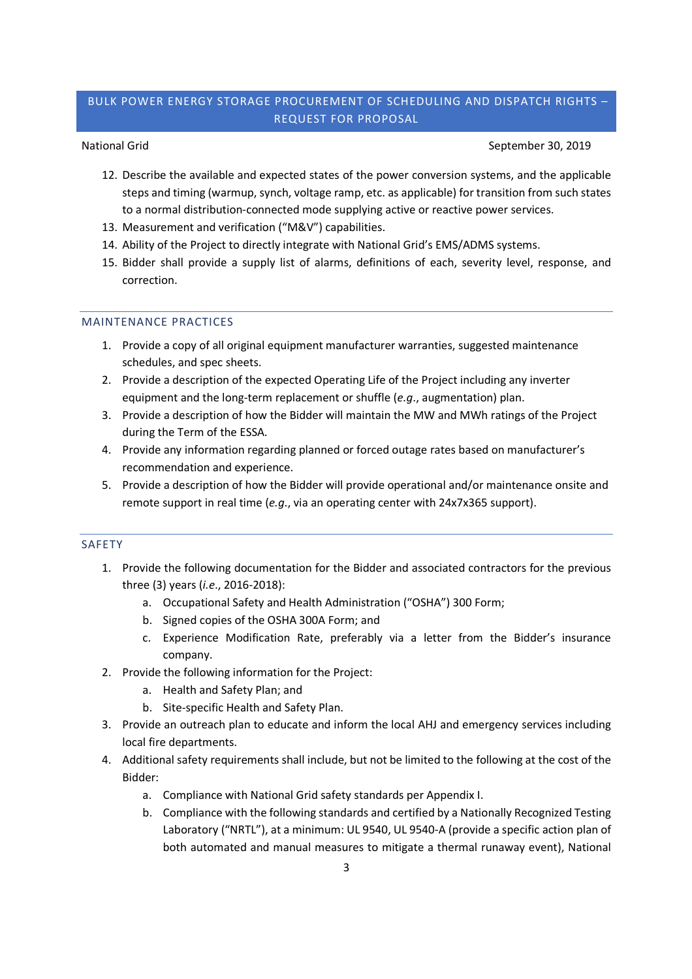National Grid September 30, 2019

- 12. Describe the available and expected states of the power conversion systems, and the applicable steps and timing (warmup, synch, voltage ramp, etc. as applicable) for transition from such states to a normal distribution-connected mode supplying active or reactive power services.
- 13. Measurement and verification ("M&V") capabilities.
- 14. Ability of the Project to directly integrate with National Grid's EMS/ADMS systems.
- 15. Bidder shall provide a supply list of alarms, definitions of each, severity level, response, and correction.

## MAINTENANCE PRACTICES

- 1. Provide a copy of all original equipment manufacturer warranties, suggested maintenance schedules, and spec sheets.
- 2. Provide a description of the expected Operating Life of the Project including any inverter equipment and the long-term replacement or shuffle (*e.g*., augmentation) plan.
- 3. Provide a description of how the Bidder will maintain the MW and MWh ratings of the Project during the Term of the ESSA.
- 4. Provide any information regarding planned or forced outage rates based on manufacturer's recommendation and experience.
- 5. Provide a description of how the Bidder will provide operational and/or maintenance onsite and remote support in real time (*e.g*., via an operating center with 24x7x365 support).

### SAFETY

- 1. Provide the following documentation for the Bidder and associated contractors for the previous three (3) years (*i.e*., 2016-2018):
	- a. Occupational Safety and Health Administration ("OSHA") 300 Form;
	- b. Signed copies of the OSHA 300A Form; and
	- c. Experience Modification Rate, preferably via a letter from the Bidder's insurance company.
- 2. Provide the following information for the Project:
	- a. Health and Safety Plan; and
	- b. Site-specific Health and Safety Plan.
- 3. Provide an outreach plan to educate and inform the local AHJ and emergency services including local fire departments.
- 4. Additional safety requirements shall include, but not be limited to the following at the cost of the Bidder:
	- a. Compliance with National Grid safety standards per Appendix I.
	- b. Compliance with the following standards and certified by a Nationally Recognized Testing Laboratory ("NRTL"), at a minimum: UL 9540, UL 9540-A (provide a specific action plan of both automated and manual measures to mitigate a thermal runaway event), National